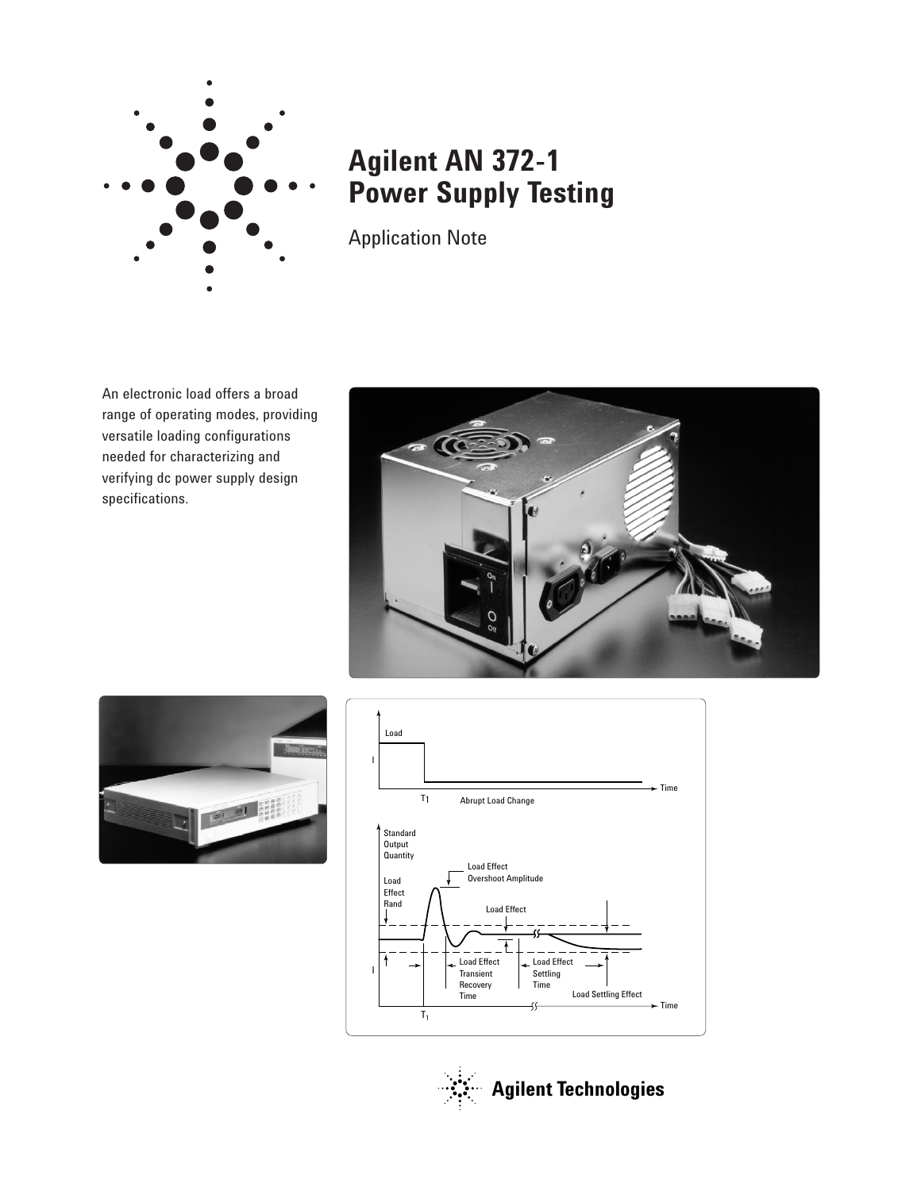

# **Agilent AN 372-1 Power Supply Testing**

Application Note

An electronic load offers a broad range of operating modes, providing versatile loading configurations needed for characterizing and verifying dc power supply design specifications.







**Agilent Technologies**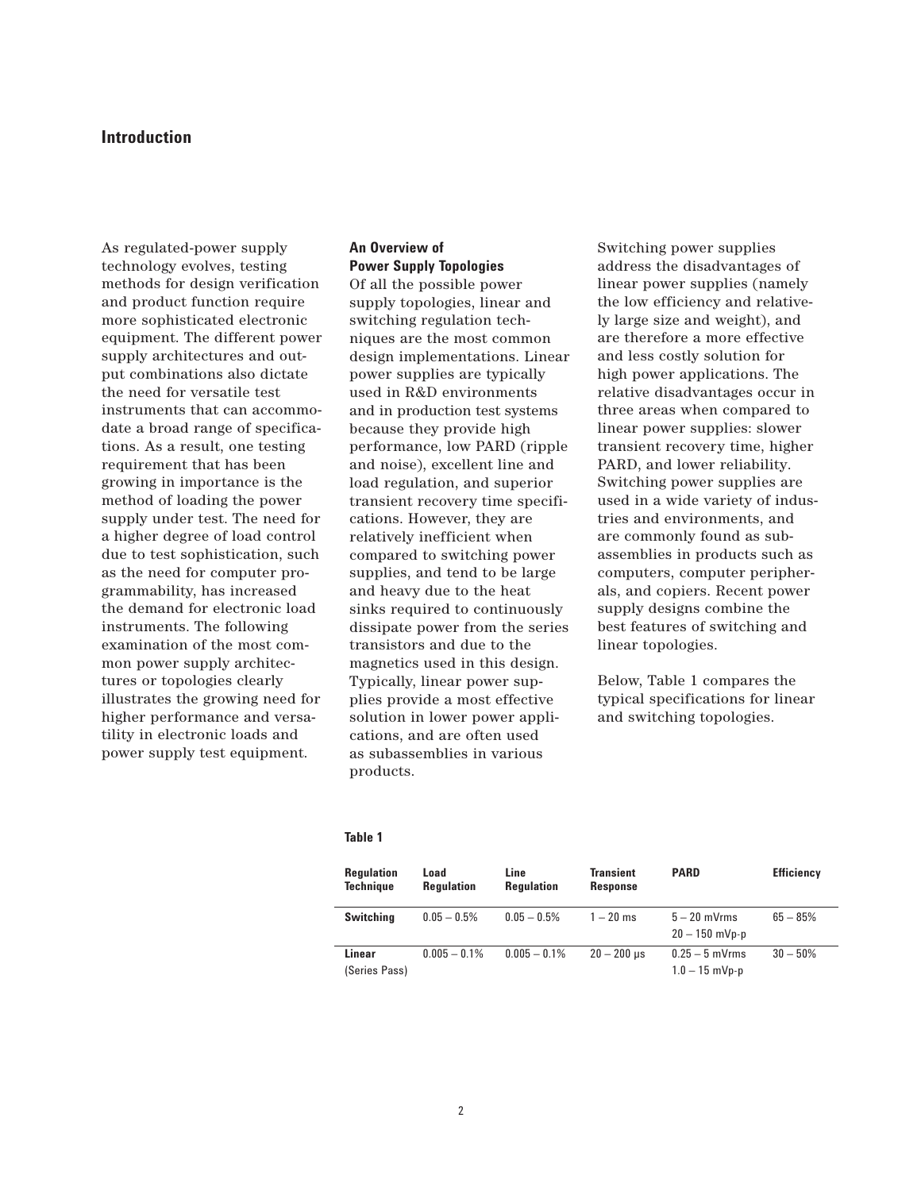# **Introduction**

As regulated-power supply technology evolves, testing methods for design verification and product function require more sophisticated electronic equipment. The different power supply architectures and output combinations also dictate the need for versatile test instruments that can accommodate a broad range of specifications. As a result, one testing requirement that has been growing in importance is the method of loading the power supply under test. The need for a higher degree of load control due to test sophistication, such as the need for computer programmability, has increased the demand for electronic load instruments. The following examination of the most common power supply architectures or topologies clearly illustrates the growing need for higher performance and versatility in electronic loads and power supply test equipment.

# **An Overview of Power Supply Topologies**

Of all the possible power supply topologies, linear and switching regulation techniques are the most common design implementations. Linear power supplies are typically used in R&D environments and in production test systems because they provide high performance, low PARD (ripple and noise), excellent line and load regulation, and superior transient recovery time specifications. However, they are relatively inefficient when compared to switching power supplies, and tend to be large and heavy due to the heat sinks required to continuously dissipate power from the series transistors and due to the magnetics used in this design. Typically, linear power supplies provide a most effective solution in lower power applications, and are often used as subassemblies in various products.

Switching power supplies address the disadvantages of linear power supplies (namely the low efficiency and relatively large size and weight), and are therefore a more effective and less costly solution for high power applications. The relative disadvantages occur in three areas when compared to linear power supplies: slower transient recovery time, higher PARD, and lower reliability. Switching power supplies are used in a wide variety of industries and environments, and are commonly found as subassemblies in products such as computers, computer peripherals, and copiers. Recent power supply designs combine the best features of switching and linear topologies.

Below, Table 1 compares the typical specifications for linear and switching topologies.

### **Table 1**

| <b>Regulation</b><br><b>Technique</b> | Load<br><b>Regulation</b> | Line<br><b>Regulation</b> | <b>Transient</b><br><b>Response</b> | <b>PARD</b>                          | <b>Efficiency</b> |
|---------------------------------------|---------------------------|---------------------------|-------------------------------------|--------------------------------------|-------------------|
| <b>Switching</b>                      | $0.05 - 0.5\%$            | $0.05 - 0.5\%$            | $1 - 20$ ms                         | $5 - 20$ mVrms<br>$20 - 150$ mVp-p   | $65 - 85%$        |
| Linear<br>(Series Pass)               | $0.005 - 0.1\%$           | $0.005 - 0.1\%$           | $20 - 200$ µs                       | $0.25 - 5$ mVrms<br>$1.0 - 15$ mVp-p | $30 - 50%$        |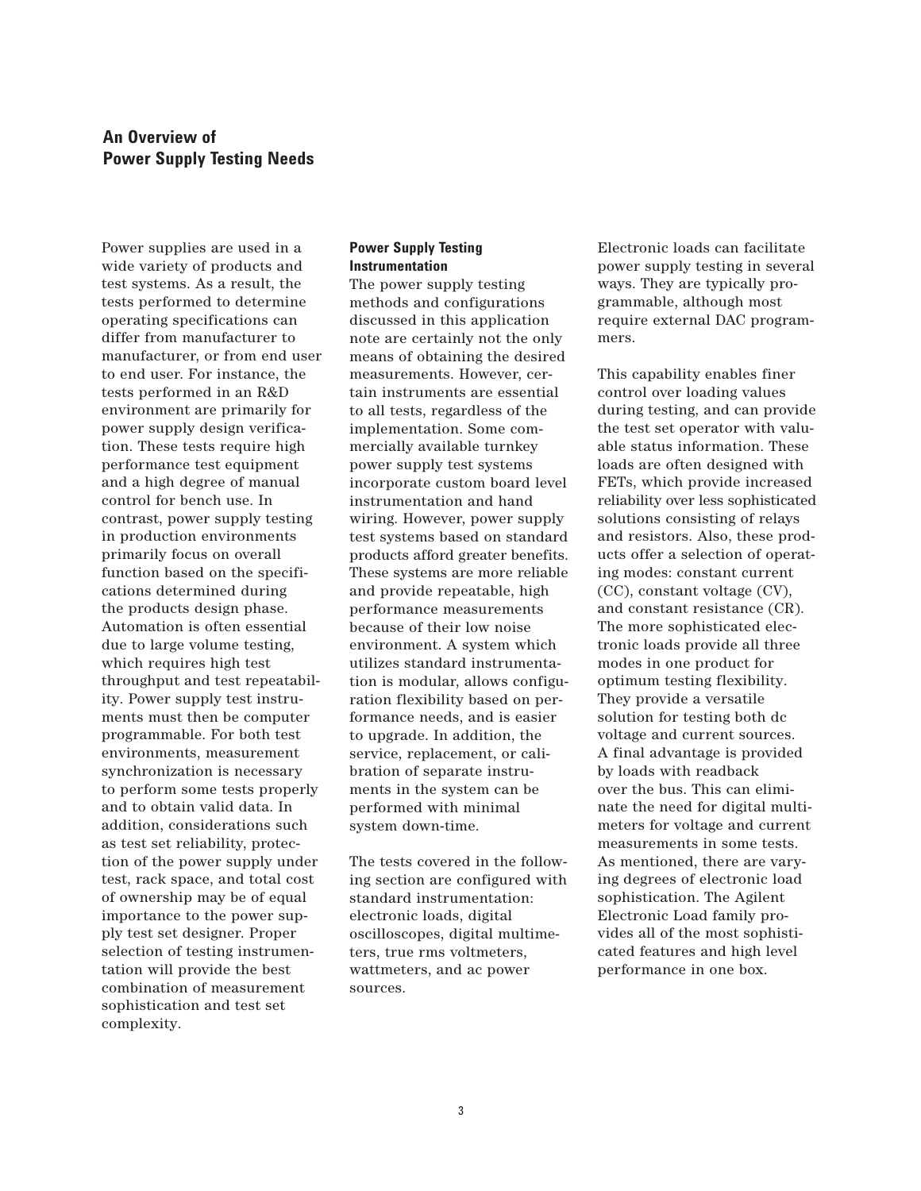# **An Overview of Power Supply Testing Needs**

Power supplies are used in a wide variety of products and test systems. As a result, the tests performed to determine operating specifications can differ from manufacturer to manufacturer, or from end user to end user. For instance, the tests performed in an R&D environment are primarily for power supply design verification. These tests require high performance test equipment and a high degree of manual control for bench use. In contrast, power supply testing in production environments primarily focus on overall function based on the specifications determined during the products design phase. Automation is often essential due to large volume testing, which requires high test throughput and test repeatability. Power supply test instruments must then be computer programmable. For both test environments, measurement synchronization is necessary to perform some tests properly and to obtain valid data. In addition, considerations such as test set reliability, protection of the power supply under test, rack space, and total cost of ownership may be of equal importance to the power supply test set designer. Proper selection of testing instrumentation will provide the best combination of measurement sophistication and test set complexity.

# **Power Supply Testing Instrumentation**

The power supply testing methods and configurations discussed in this application note are certainly not the only means of obtaining the desired measurements. However, certain instruments are essential to all tests, regardless of the implementation. Some commercially available turnkey power supply test systems incorporate custom board level instrumentation and hand wiring. However, power supply test systems based on standard products afford greater benefits. These systems are more reliable and provide repeatable, high performance measurements because of their low noise environment. A system which utilizes standard instrumentation is modular, allows configuration flexibility based on performance needs, and is easier to upgrade. In addition, the service, replacement, or calibration of separate instruments in the system can be performed with minimal system down-time.

The tests covered in the following section are configured with standard instrumentation: electronic loads, digital oscilloscopes, digital multimeters, true rms voltmeters, wattmeters, and ac power sources.

Electronic loads can facilitate power supply testing in several ways. They are typically programmable, although most require external DAC programmers.

This capability enables finer control over loading values during testing, and can provide the test set operator with valuable status information. These loads are often designed with FETs, which provide increased reliability over less sophisticated solutions consisting of relays and resistors. Also, these products offer a selection of operating modes: constant current (CC), constant voltage (CV), and constant resistance (CR). The more sophisticated electronic loads provide all three modes in one product for optimum testing flexibility. They provide a versatile solution for testing both dc voltage and current sources. A final advantage is provided by loads with readback over the bus. This can eliminate the need for digital multimeters for voltage and current measurements in some tests. As mentioned, there are varying degrees of electronic load sophistication. The Agilent Electronic Load family provides all of the most sophisticated features and high level performance in one box.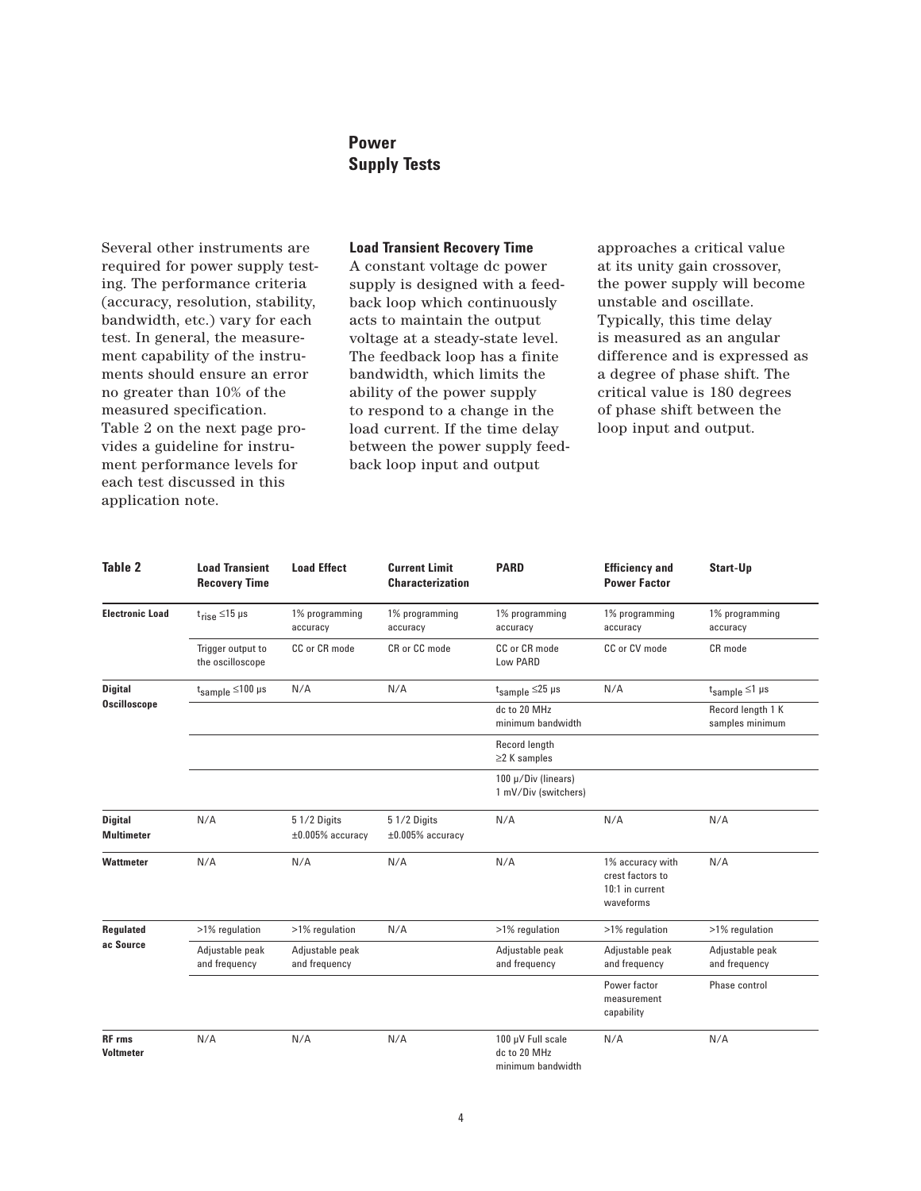# **Power Supply Tests**

Several other instruments are required for power supply testing. The performance criteria (accuracy, resolution, stability, bandwidth, etc.) vary for each test. In general, the measurement capability of the instruments should ensure an error no greater than 10% of the measured specification. Table 2 on the next page provides a guideline for instrument performance levels for each test discussed in this application note.

# **Load Transient Recovery Time**

A constant voltage dc power supply is designed with a feedback loop which continuously acts to maintain the output voltage at a steady-state level. The feedback loop has a finite bandwidth, which limits the ability of the power supply to respond to a change in the load current. If the time delay between the power supply feedback loop input and output

approaches a critical value at its unity gain crossover, the power supply will become unstable and oscillate. Typically, this time delay is measured as an angular difference and is expressed as a degree of phase shift. The critical value is 180 degrees of phase shift between the loop input and output.

| Table 2                               | <b>Load Transient</b><br><b>Recovery Time</b> | <b>Load Effect</b>                 | <b>Current Limit</b><br><b>Characterization</b> | <b>PARD</b>                                            | <b>Efficiency and</b><br><b>Power Factor</b>                         | Start-Up                             |
|---------------------------------------|-----------------------------------------------|------------------------------------|-------------------------------------------------|--------------------------------------------------------|----------------------------------------------------------------------|--------------------------------------|
| <b>Electronic Load</b>                | $t_{rise} \leq 15$ µs                         | 1% programming<br>accuracy         | 1% programming<br>accuracy                      | 1% programming<br>accuracy                             | 1% programming<br>accuracy                                           | 1% programming<br>accuracy           |
|                                       | Trigger output to<br>the oscilloscope         | CC or CR mode                      | CR or CC mode                                   | CC or CR mode<br>Low PARD                              | CC or CV mode                                                        | CR mode                              |
| <b>Digital</b><br><b>Oscilloscope</b> | $t_{sample} \le 100 \text{ }\mu\text{s}$      | N/A                                | N/A                                             | $t_{sample} \leq 25$ µs                                | N/A                                                                  | $t_{sample} \leq 1$ µs               |
|                                       |                                               |                                    |                                                 | dc to 20 MHz<br>minimum bandwidth                      |                                                                      | Record length 1 K<br>samples minimum |
|                                       |                                               |                                    |                                                 | Record length<br>$\geq$ 2 K samples                    |                                                                      |                                      |
|                                       |                                               |                                    |                                                 | 100 µ/Div (linears)<br>1 mV/Div (switchers)            |                                                                      |                                      |
| <b>Digital</b><br><b>Multimeter</b>   | N/A                                           | 5 1/2 Digits<br>$±0.005%$ accuracy | 5 1/2 Digits<br>$\pm 0.005\%$ accuracy          | N/A                                                    | N/A                                                                  | N/A                                  |
| <b>Wattmeter</b>                      | N/A                                           | N/A                                | N/A                                             | N/A                                                    | 1% accuracy with<br>crest factors to<br>10:1 in current<br>waveforms | N/A                                  |
| Regulated                             | >1% regulation                                | >1% regulation                     | N/A                                             | >1% regulation                                         | >1% regulation                                                       | >1% regulation                       |
| ac Source                             | Adjustable peak<br>and frequency              | Adjustable peak<br>and frequency   |                                                 | Adjustable peak<br>and frequency                       | Adjustable peak<br>and frequency                                     | Adjustable peak<br>and frequency     |
|                                       |                                               |                                    |                                                 |                                                        | Power factor<br>measurement<br>capability                            | Phase control                        |
| <b>RF</b> rms<br><b>Voltmeter</b>     | N/A                                           | N/A                                | N/A                                             | 100 µV Full scale<br>dc to 20 MHz<br>minimum bandwidth | N/A                                                                  | N/A                                  |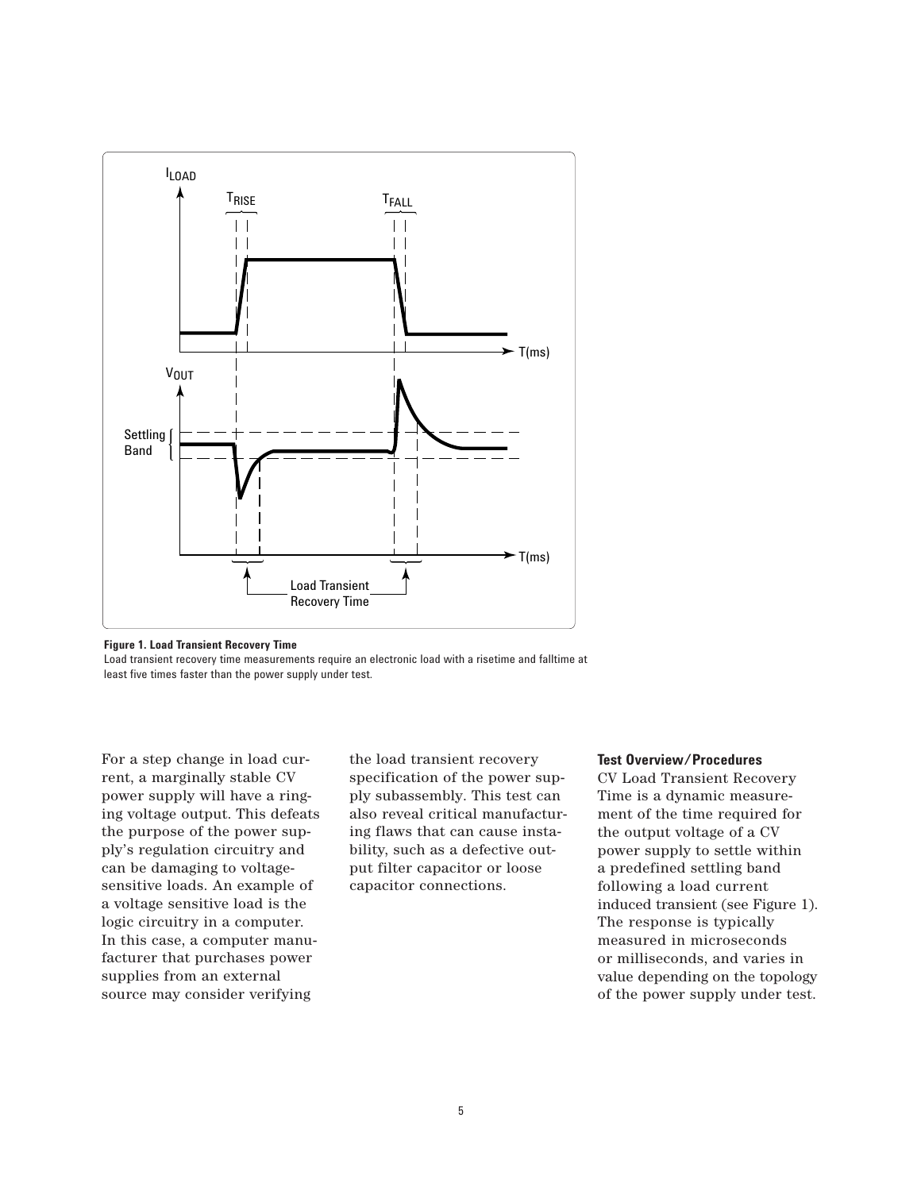

**Figure 1. Load Transient Recovery Time**

Load transient recovery time measurements require an electronic load with a risetime and falltime at least five times faster than the power supply under test.

For a step change in load current, a marginally stable CV power supply will have a ringing voltage output. This defeats the purpose of the power supply's regulation circuitry and can be damaging to voltagesensitive loads. An example of a voltage sensitive load is the logic circuitry in a computer. In this case, a computer manufacturer that purchases power supplies from an external source may consider verifying

the load transient recovery specification of the power supply subassembly. This test can also reveal critical manufacturing flaws that can cause instability, such as a defective output filter capacitor or loose capacitor connections.

# **Test Overview/Procedures**

CV Load Transient Recovery Time is a dynamic measurement of the time required for the output voltage of a CV power supply to settle within a predefined settling band following a load current induced transient (see Figure 1). The response is typically measured in microseconds or milliseconds, and varies in value depending on the topology of the power supply under test.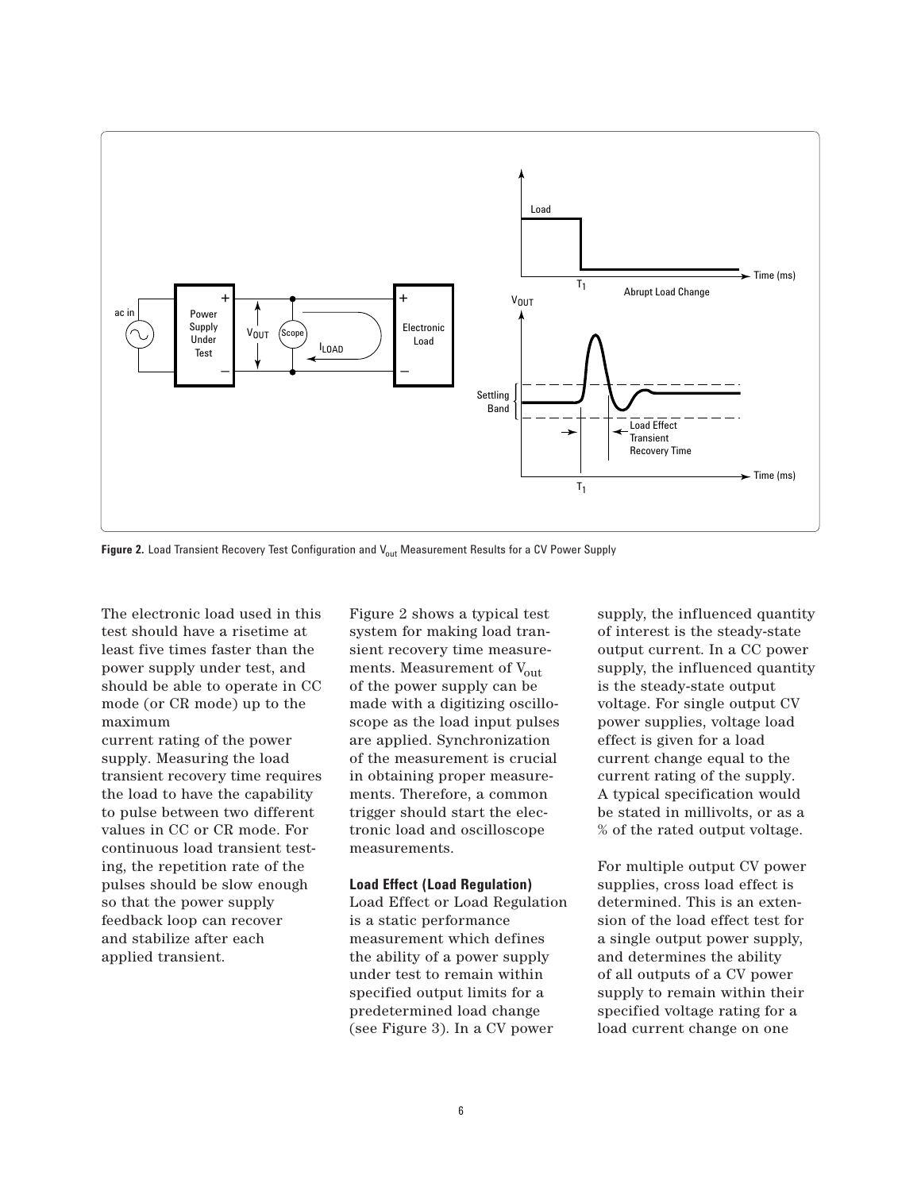

Figure 2. Load Transient Recovery Test Configuration and V<sub>out</sub> Measurement Results for a CV Power Supply

The electronic load used in this test should have a risetime at least five times faster than the power supply under test, and should be able to operate in CC mode (or CR mode) up to the maximum

current rating of the power supply. Measuring the load transient recovery time requires the load to have the capability to pulse between two different values in CC or CR mode. For continuous load transient testing, the repetition rate of the pulses should be slow enough so that the power supply feedback loop can recover and stabilize after each applied transient.

Figure 2 shows a typical test system for making load transient recovery time measurements. Measurement of Vout of the power supply can be made with a digitizing oscilloscope as the load input pulses are applied. Synchronization of the measurement is crucial in obtaining proper measurements. Therefore, a common trigger should start the electronic load and oscilloscope measurements.

## **Load Effect (Load Regulation)**

Load Effect or Load Regulation is a static performance measurement which defines the ability of a power supply under test to remain within specified output limits for a predetermined load change (see Figure 3). In a CV power

supply, the influenced quantity of interest is the steady-state output current. In a CC power supply, the influenced quantity is the steady-state output voltage. For single output CV power supplies, voltage load effect is given for a load current change equal to the current rating of the supply. A typical specification would be stated in millivolts, or as a % of the rated output voltage.

For multiple output CV power supplies, cross load effect is determined. This is an extension of the load effect test for a single output power supply, and determines the ability of all outputs of a CV power supply to remain within their specified voltage rating for a load current change on one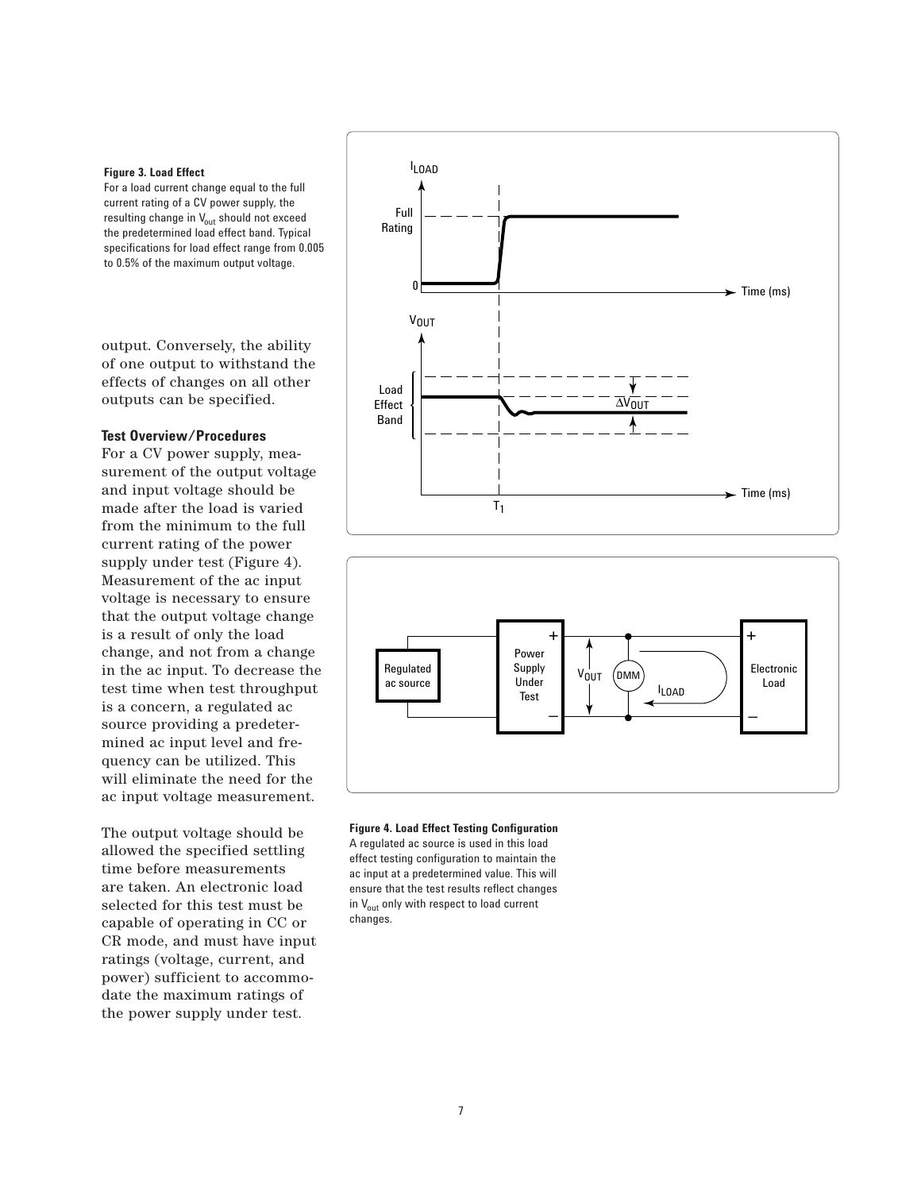### **Figure 3. Load Effect**

For a load current change equal to the full current rating of a CV power supply, the resulting change in  $V_{out}$  should not exceed the predetermined load effect band. Typical specifications for load effect range from 0.005 to 0.5% of the maximum output voltage.

output. Conversely, the ability of one output to withstand the effects of changes on all other outputs can be specified.

# **Test Overview/Procedures**

For a CV power supply, measurement of the output voltage and input voltage should be made after the load is varied from the minimum to the full current rating of the power supply under test (Figure 4). Measurement of the ac input voltage is necessary to ensure that the output voltage change is a result of only the load change, and not from a change in the ac input. To decrease the test time when test throughput is a concern, a regulated ac source providing a predetermined ac input level and frequency can be utilized. This will eliminate the need for the ac input voltage measurement.

The output voltage should be allowed the specified settling time before measurements are taken. An electronic load selected for this test must be capable of operating in CC or CR mode, and must have input ratings (voltage, current, and power) sufficient to accommodate the maximum ratings of the power supply under test.





### **Figure 4. Load Effect Testing Configuration**

A regulated ac source is used in this load effect testing configuration to maintain the ac input at a predetermined value. This will ensure that the test results reflect changes in  $V_{\text{out}}$  only with respect to load current changes.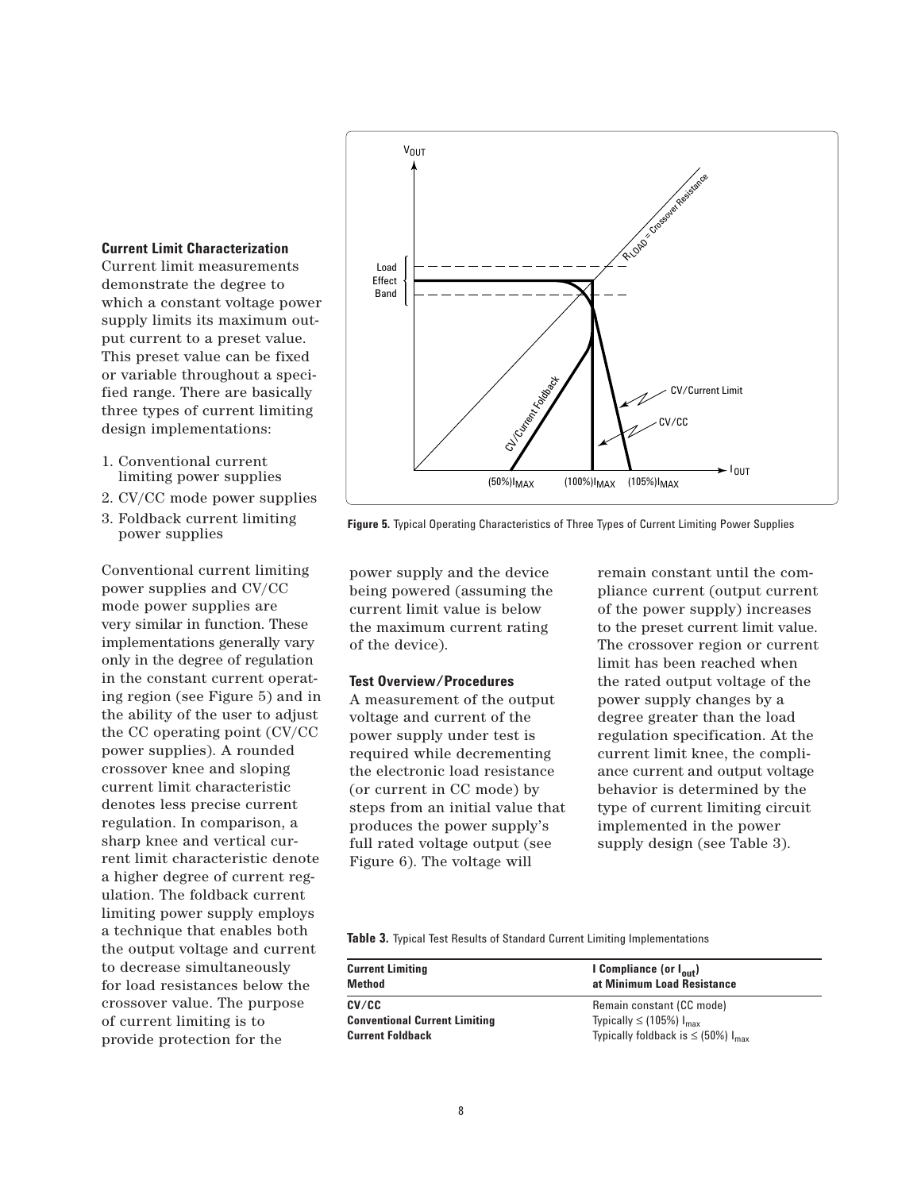

**Figure 5.** Typical Operating Characteristics of Three Types of Current Limiting Power Supplies

power supply and the device being powered (assuming the current limit value is below the maximum current rating of the device).

# **Test Overview/Procedures**

A measurement of the output voltage and current of the power supply under test is required while decrementing the electronic load resistance (or current in CC mode) by steps from an initial value that produces the power supply's full rated voltage output (see Figure 6). The voltage will

remain constant until the compliance current (output current of the power supply) increases to the preset current limit value. The crossover region or current limit has been reached when the rated output voltage of the power supply changes by a degree greater than the load regulation specification. At the current limit knee, the compliance current and output voltage behavior is determined by the type of current limiting circuit implemented in the power supply design (see Table 3).

**Table 3.** Typical Test Results of Standard Current Limiting Implementations

| <b>Current Limiting</b>              | I Compliance (or I <sub>out</sub> )                 |
|--------------------------------------|-----------------------------------------------------|
| Method                               | at Minimum Load Resistance                          |
| CV/CC                                | Remain constant (CC mode)                           |
| <b>Conventional Current Limiting</b> | Typically $\leq$ (105%) $I_{\text{max}}$            |
| <b>Current Foldback</b>              | Typically foldback is $\leq$ (50%) I <sub>max</sub> |

# **Current Limit Characterization**

Current limit measurements demonstrate the degree to which a constant voltage power supply limits its maximum output current to a preset value. This preset value can be fixed or variable throughout a specified range. There are basically three types of current limiting design implementations:

- 1. Conventional current limiting power supplies
- 2. CV/CC mode power supplies
- 3. Foldback current limiting power supplies

Conventional current limiting power supplies and CV/CC mode power supplies are very similar in function. These implementations generally vary only in the degree of regulation in the constant current operating region (see Figure 5) and in the ability of the user to adjust the CC operating point (CV/CC power supplies). A rounded crossover knee and sloping current limit characteristic denotes less precise current regulation. In comparison, a sharp knee and vertical current limit characteristic denote a higher degree of current regulation. The foldback current limiting power supply employs a technique that enables both the output voltage and current to decrease simultaneously for load resistances below the crossover value. The purpose of current limiting is to provide protection for the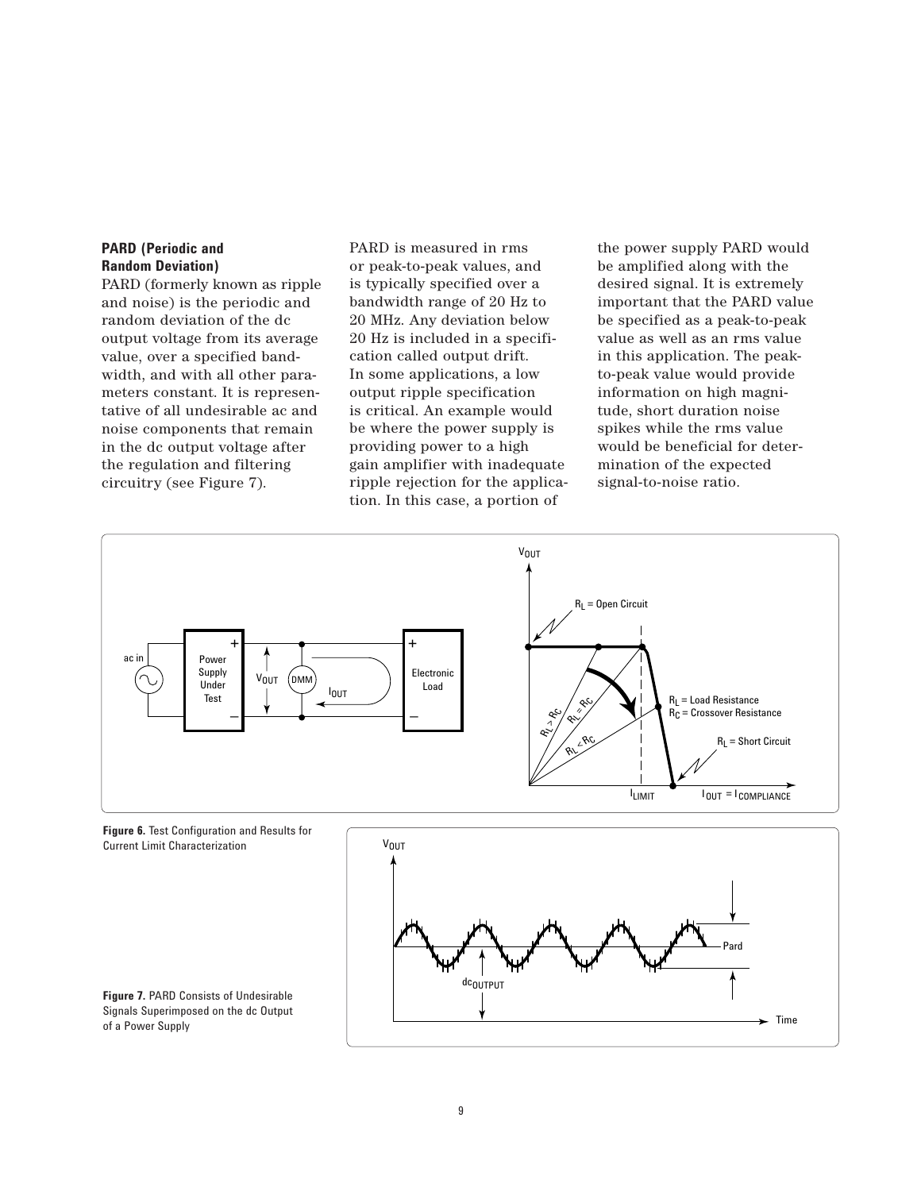# **PARD (Periodic and Random Deviation)**

PARD (formerly known as ripple and noise) is the periodic and random deviation of the dc output voltage from its average value, over a specified bandwidth, and with all other parameters constant. It is representative of all undesirable ac and noise components that remain in the dc output voltage after the regulation and filtering circuitry (see Figure 7).

PARD is measured in rms or peak-to-peak values, and is typically specified over a bandwidth range of 20 Hz to 20 MHz. Any deviation below 20 Hz is included in a specification called output drift. In some applications, a low output ripple specification is critical. An example would be where the power supply is providing power to a high gain amplifier with inadequate ripple rejection for the application. In this case, a portion of

the power supply PARD would be amplified along with the desired signal. It is extremely important that the PARD value be specified as a peak-to-peak value as well as an rms value in this application. The peakto-peak value would provide information on high magnitude, short duration noise spikes while the rms value would be beneficial for determination of the expected signal-to-noise ratio.

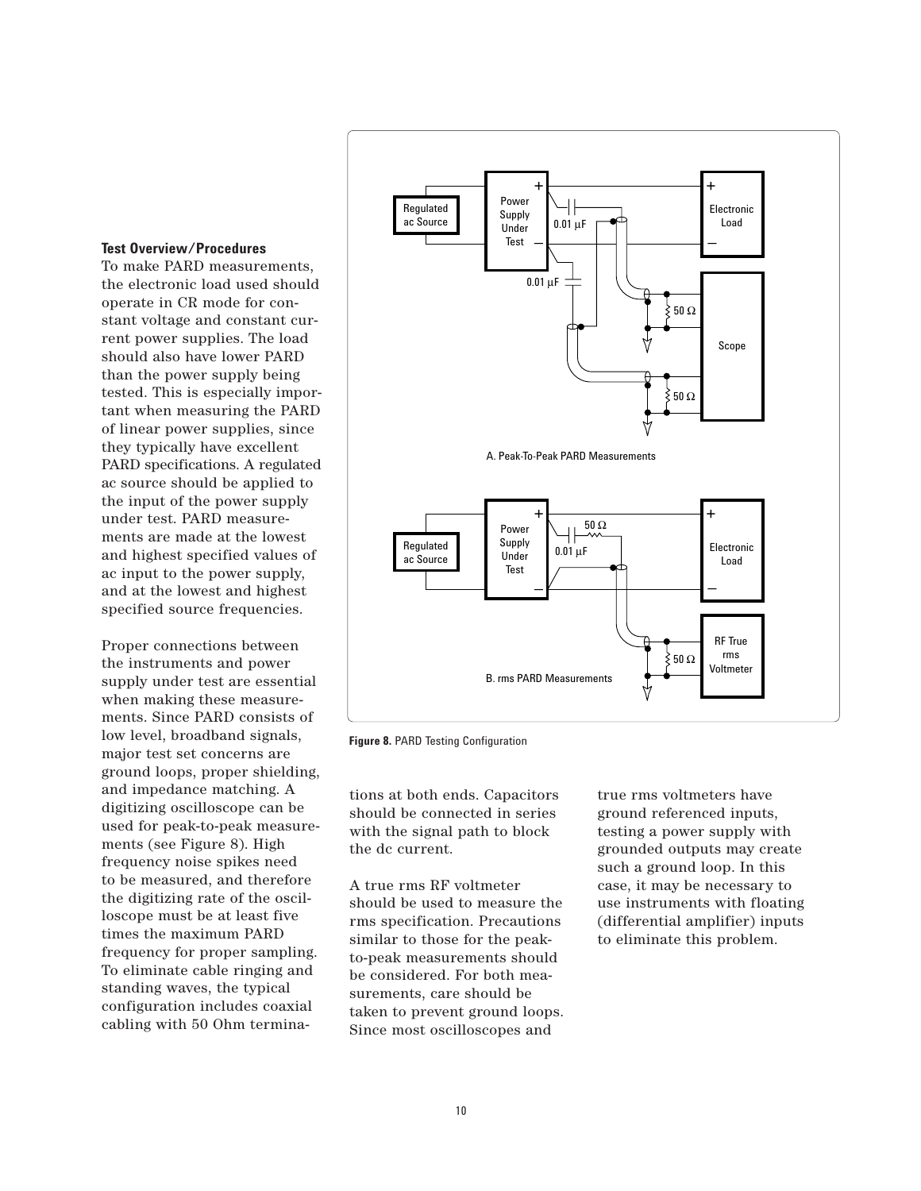# **Test Overview/Procedures**

To make PARD measurements, the electronic load used should operate in CR mode for constant voltage and constant current power supplies. The load should also have lower PARD than the power supply being tested. This is especially important when measuring the PARD of linear power supplies, since they typically have excellent PARD specifications. A regulated ac source should be applied to the input of the power supply under test. PARD measurements are made at the lowest and highest specified values of ac input to the power supply, and at the lowest and highest specified source frequencies.

Proper connections between the instruments and power supply under test are essential when making these measurements. Since PARD consists of low level, broadband signals, major test set concerns are ground loops, proper shielding, and impedance matching. A digitizing oscilloscope can be used for peak-to-peak measurements (see Figure 8). High frequency noise spikes need to be measured, and therefore the digitizing rate of the oscilloscope must be at least five times the maximum PARD frequency for proper sampling. To eliminate cable ringing and standing waves, the typical configuration includes coaxial cabling with 50 Ohm termina-



**Figure 8.** PARD Testing Configuration

tions at both ends. Capacitors should be connected in series with the signal path to block the dc current.

A true rms RF voltmeter should be used to measure the rms specification. Precautions similar to those for the peakto-peak measurements should be considered. For both measurements, care should be taken to prevent ground loops. Since most oscilloscopes and

true rms voltmeters have ground referenced inputs, testing a power supply with grounded outputs may create such a ground loop. In this case, it may be necessary to use instruments with floating (differential amplifier) inputs to eliminate this problem.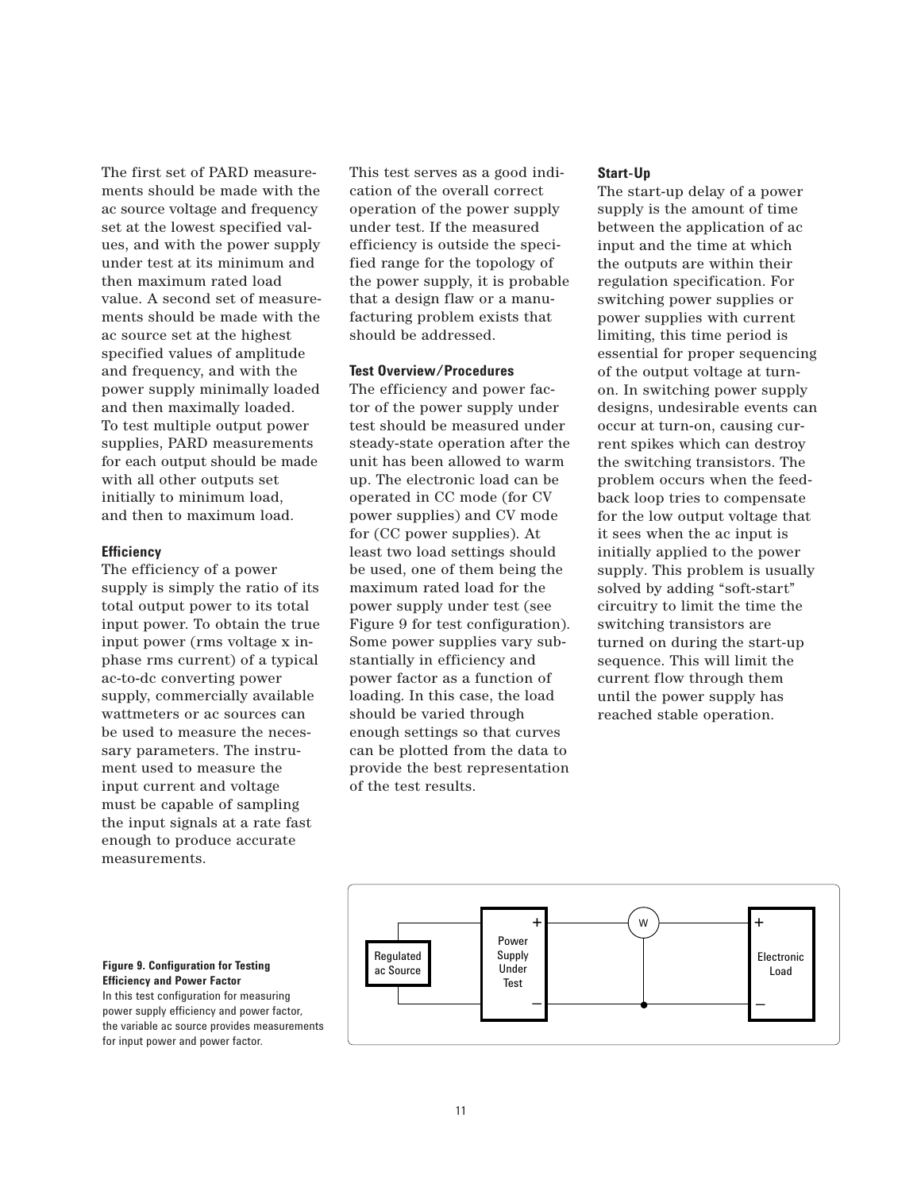The first set of PARD measurements should be made with the ac source voltage and frequency set at the lowest specified values, and with the power supply under test at its minimum and then maximum rated load value. A second set of measurements should be made with the ac source set at the highest specified values of amplitude and frequency, and with the power supply minimally loaded and then maximally loaded. To test multiple output power supplies, PARD measurements for each output should be made with all other outputs set initially to minimum load, and then to maximum load.

# **Efficiency**

The efficiency of a power supply is simply the ratio of its total output power to its total input power. To obtain the true input power (rms voltage x inphase rms current) of a typical ac-to-dc converting power supply, commercially available wattmeters or ac sources can be used to measure the necessary parameters. The instrument used to measure the input current and voltage must be capable of sampling the input signals at a rate fast enough to produce accurate measurements.

This test serves as a good indication of the overall correct operation of the power supply under test. If the measured efficiency is outside the specified range for the topology of the power supply, it is probable that a design flaw or a manufacturing problem exists that should be addressed.

# **Test Overview/Procedures**

The efficiency and power factor of the power supply under test should be measured under steady-state operation after the unit has been allowed to warm up. The electronic load can be operated in CC mode (for CV power supplies) and CV mode for (CC power supplies). At least two load settings should be used, one of them being the maximum rated load for the power supply under test (see Figure 9 for test configuration). Some power supplies vary substantially in efficiency and power factor as a function of loading. In this case, the load should be varied through enough settings so that curves can be plotted from the data to provide the best representation of the test results.

# **Start-Up**

The start-up delay of a power supply is the amount of time between the application of ac input and the time at which the outputs are within their regulation specification. For switching power supplies or power supplies with current limiting, this time period is essential for proper sequencing of the output voltage at turnon. In switching power supply designs, undesirable events can occur at turn-on, causing current spikes which can destroy the switching transistors. The problem occurs when the feedback loop tries to compensate for the low output voltage that it sees when the ac input is initially applied to the power supply. This problem is usually solved by adding "soft-start" circuitry to limit the time the switching transistors are turned on during the start-up sequence. This will limit the current flow through them until the power supply has reached stable operation.

![](_page_10_Figure_8.jpeg)

# **Figure 9. Configuration for Testing <b>Figure 1** ac Source **Efficiency and Power Factor**

In this test configuration for measuring power supply efficiency and power factor, the variable ac source provides measurements for input power and power factor.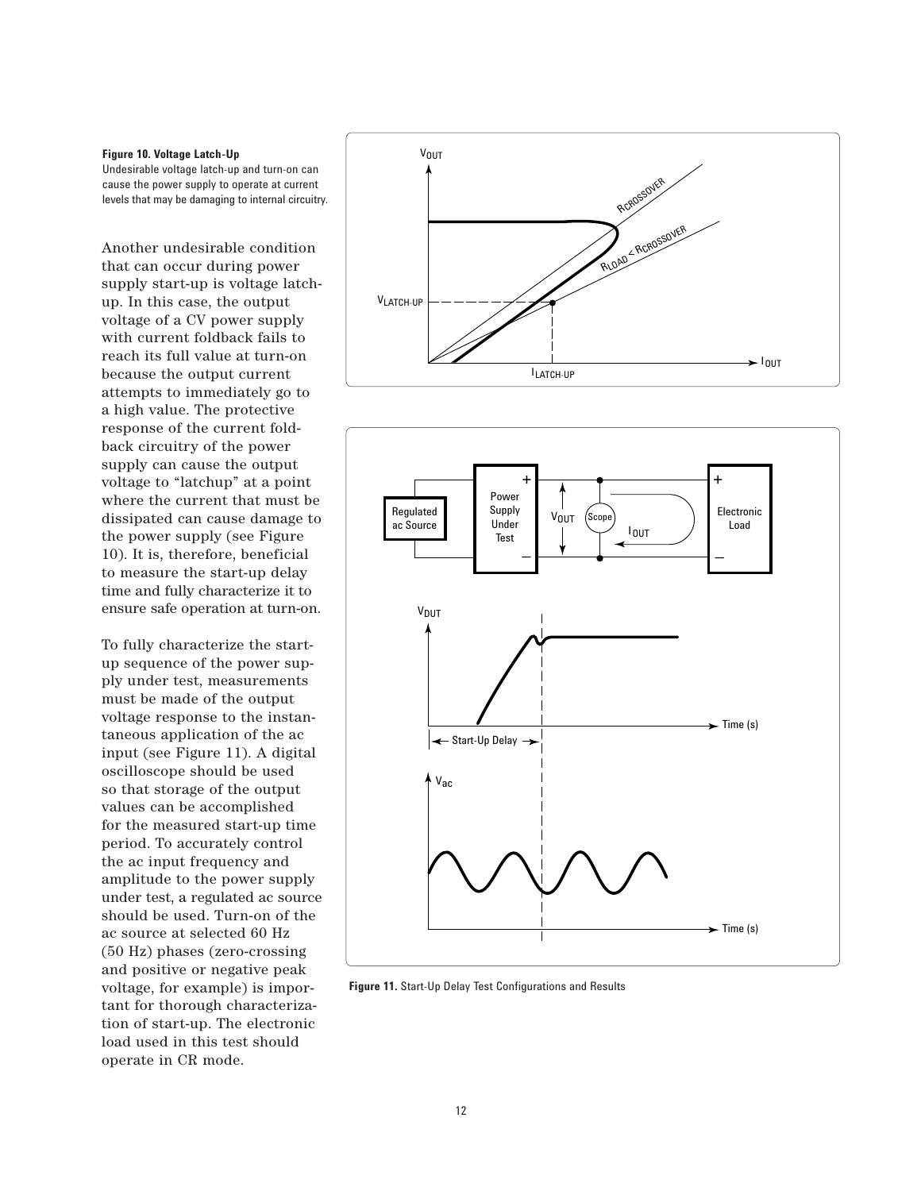### **Figure 10. Voltage Latch-Up**

Undesirable voltage latch-up and turn-on can cause the power supply to operate at current levels that may be damaging to internal circuitry.

Another undesirable condition that can occur during power supply start-up is voltage latchup. In this case, the output voltage of a CV power supply with current foldback fails to reach its full value at turn-on because the output current attempts to immediately go to a high value. The protective response of the current foldback circuitry of the power supply can cause the output voltage to "latchup" at a point where the current that must be dissipated can cause damage to the power supply (see Figure 10). It is, therefore, beneficial to measure the start-up delay time and fully characterize it to ensure safe operation at turn-on.

To fully characterize the startup sequence of the power supply under test, measurements must be made of the output voltage response to the instantaneous application of the ac input (see Figure 11). A digital oscilloscope should be used so that storage of the output values can be accomplished for the measured start-up time period. To accurately control the ac input frequency and amplitude to the power supply under test, a regulated ac source should be used. Turn-on of the ac source at selected 60 Hz (50 Hz) phases (zero-crossing and positive or negative peak voltage, for example) is important for thorough characterization of start-up. The electronic load used in this test should operate in CR mode.

![](_page_11_Figure_4.jpeg)

![](_page_11_Figure_5.jpeg)

**Figure 11.** Start-Up Delay Test Configurations and Results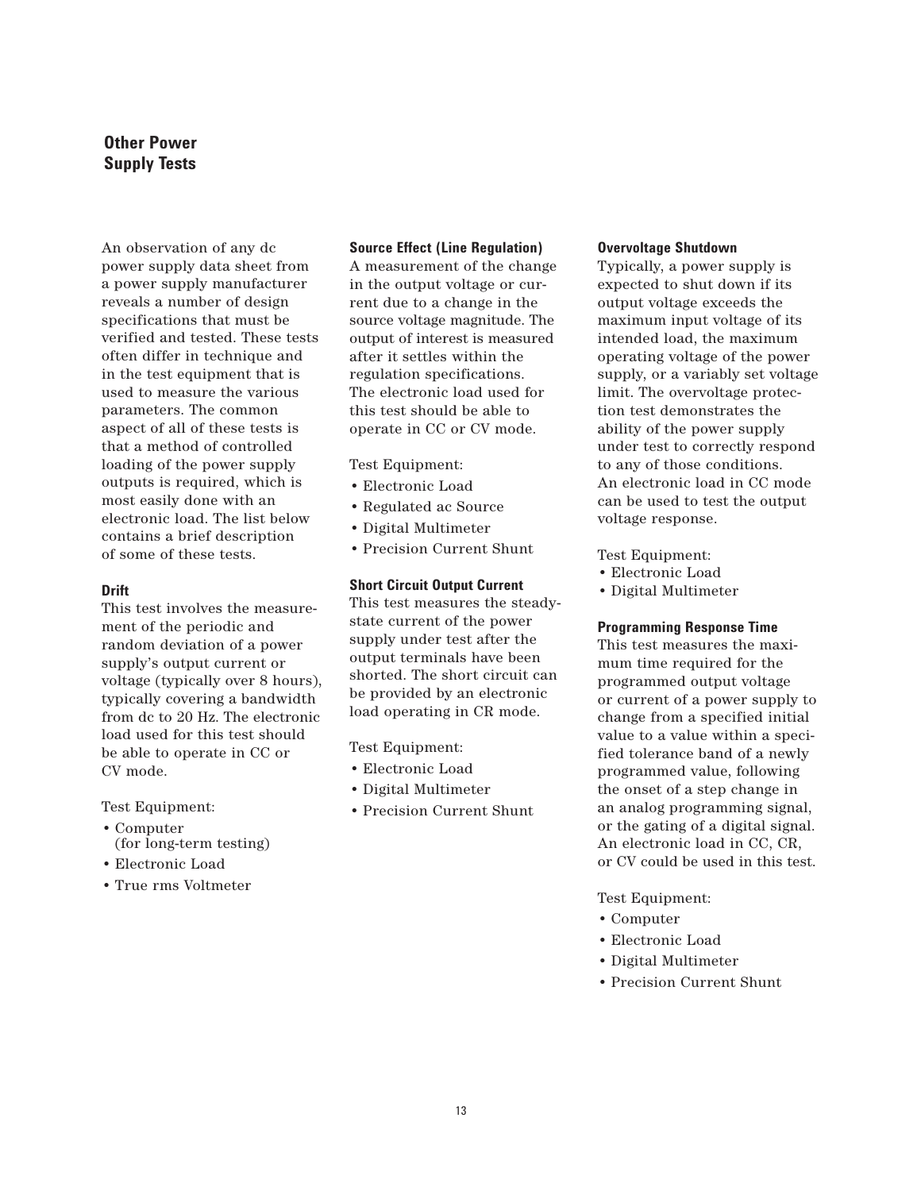# **Other Power Supply Tests**

An observation of any dc power supply data sheet from a power supply manufacturer reveals a number of design specifications that must be verified and tested. These tests often differ in technique and in the test equipment that is used to measure the various parameters. The common aspect of all of these tests is that a method of controlled loading of the power supply outputs is required, which is most easily done with an electronic load. The list below contains a brief description of some of these tests.

# **Drift**

This test involves the measurement of the periodic and random deviation of a power supply's output current or voltage (typically over 8 hours), typically covering a bandwidth from dc to 20 Hz. The electronic load used for this test should be able to operate in CC or CV mode.

Test Equipment:

- Computer (for long-term testing)
- Electronic Load
- True rms Voltmeter

# **Source Effect (Line Regulation)**

A measurement of the change in the output voltage or current due to a change in the source voltage magnitude. The output of interest is measured after it settles within the regulation specifications. The electronic load used for this test should be able to operate in CC or CV mode.

Test Equipment:

- Electronic Load
- Regulated ac Source
- Digital Multimeter
- Precision Current Shunt

# **Short Circuit Output Current**

This test measures the steadystate current of the power supply under test after the output terminals have been shorted. The short circuit can be provided by an electronic load operating in CR mode.

Test Equipment:

- Electronic Load
- Digital Multimeter
- Precision Current Shunt

# **Overvoltage Shutdown**

Typically, a power supply is expected to shut down if its output voltage exceeds the maximum input voltage of its intended load, the maximum operating voltage of the power supply, or a variably set voltage limit. The overvoltage protection test demonstrates the ability of the power supply under test to correctly respond to any of those conditions. An electronic load in CC mode can be used to test the output voltage response.

Test Equipment:

- Electronic Load
- Digital Multimeter

# **Programming Response Time**

This test measures the maximum time required for the programmed output voltage or current of a power supply to change from a specified initial value to a value within a specified tolerance band of a newly programmed value, following the onset of a step change in an analog programming signal, or the gating of a digital signal. An electronic load in CC, CR, or CV could be used in this test.

Test Equipment:

- Computer
- Electronic Load
- Digital Multimeter
- Precision Current Shunt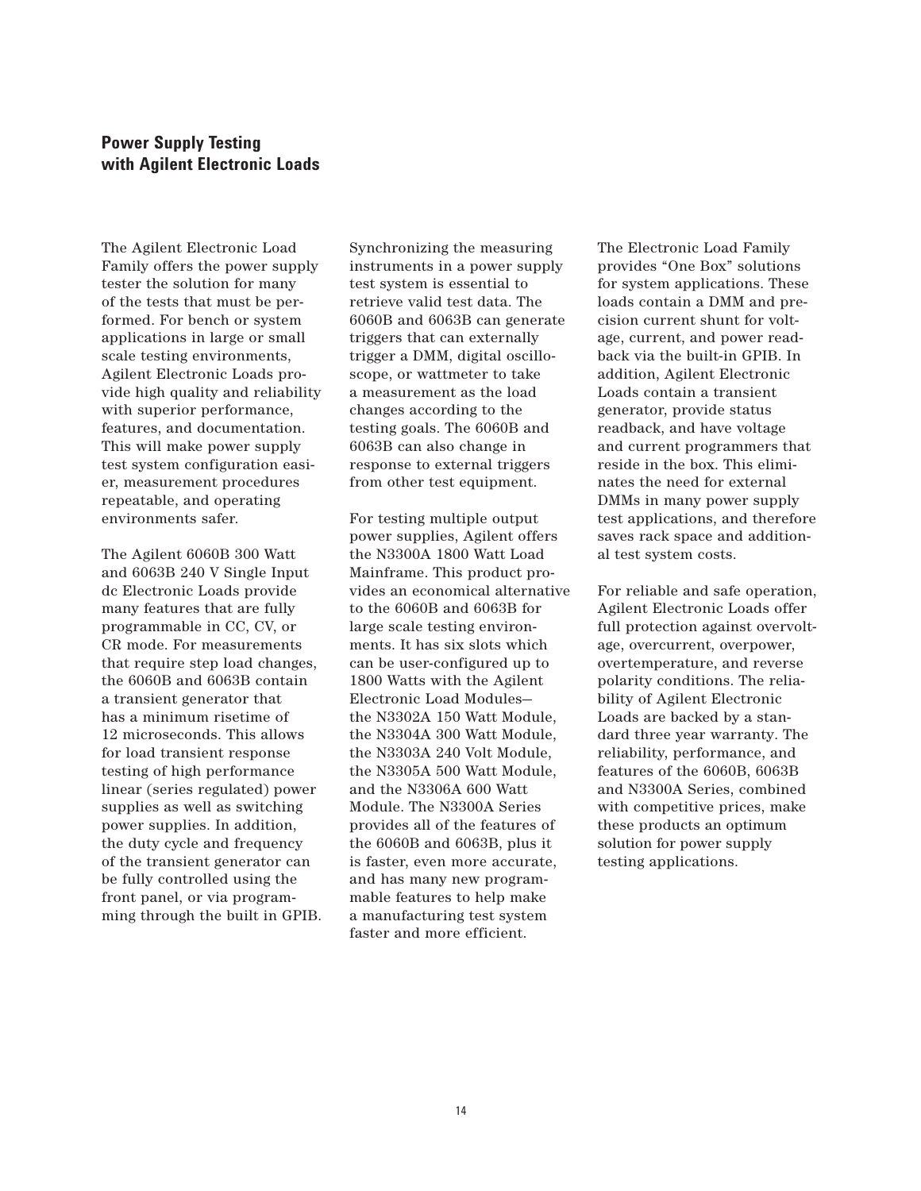# **Power Supply Testing with Agilent Electronic Loads**

The Agilent Electronic Load Family offers the power supply tester the solution for many of the tests that must be performed. For bench or system applications in large or small scale testing environments, Agilent Electronic Loads provide high quality and reliability with superior performance, features, and documentation. This will make power supply test system configuration easier, measurement procedures repeatable, and operating environments safer.

The Agilent 6060B 300 Watt and 6063B 240 V Single Input dc Electronic Loads provide many features that are fully programmable in CC, CV, or CR mode. For measurements that require step load changes, the 6060B and 6063B contain a transient generator that has a minimum risetime of 12 microseconds. This allows for load transient response testing of high performance linear (series regulated) power supplies as well as switching power supplies. In addition, the duty cycle and frequency of the transient generator can be fully controlled using the front panel, or via programming through the built in GPIB. Synchronizing the measuring instruments in a power supply test system is essential to retrieve valid test data. The 6060B and 6063B can generate triggers that can externally trigger a DMM, digital oscilloscope, or wattmeter to take a measurement as the load changes according to the testing goals. The 6060B and 6063B can also change in response to external triggers from other test equipment.

For testing multiple output power supplies, Agilent offers the N3300A 1800 Watt Load Mainframe. This product provides an economical alternative to the 6060B and 6063B for large scale testing environments. It has six slots which can be user-configured up to 1800 Watts with the Agilent Electronic Load Modules the N3302A 150 Watt Module, the N3304A 300 Watt Module, the N3303A 240 Volt Module, the N3305A 500 Watt Module, and the N3306A 600 Watt Module. The N3300A Series provides all of the features of the 6060B and 6063B, plus it is faster, even more accurate, and has many new programmable features to help make a manufacturing test system faster and more efficient.

The Electronic Load Family provides "One Box" solutions for system applications. These loads contain a DMM and precision current shunt for voltage, current, and power readback via the built-in GPIB. In addition, Agilent Electronic Loads contain a transient generator, provide status readback, and have voltage and current programmers that reside in the box. This eliminates the need for external DMMs in many power supply test applications, and therefore saves rack space and additional test system costs.

For reliable and safe operation, Agilent Electronic Loads offer full protection against overvoltage, overcurrent, overpower, overtemperature, and reverse polarity conditions. The reliability of Agilent Electronic Loads are backed by a standard three year warranty. The reliability, performance, and features of the 6060B, 6063B and N3300A Series, combined with competitive prices, make these products an optimum solution for power supply testing applications.